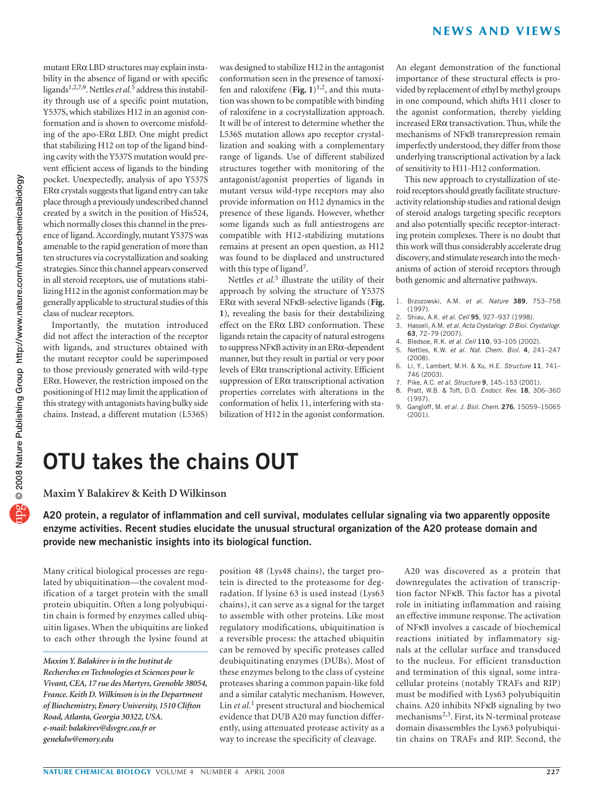mutant ERα LBD structures may explain instability in the absence of ligand or with specific ligands<sup>1,2,7,9</sup>. Nettles *et al.*<sup>5</sup> address this instability through use of a specific point mutation, Y537S, which stabilizes H12 in an agonist conformation and is shown to overcome misfolding of the apo-ERα LBD. One might predict that stabilizing H12 on top of the ligand binding cavity with the Y537S mutation would prevent efficient access of ligands to the binding pocket. Unexpectedly, analysis of apo Y537S  $ER\alpha$  crystals suggests that ligand entry can take place through a previously undescribed channel created by a switch in the position of His524, which normally closes this channel in the presence of ligand. Accordingly, mutant Y537S was amenable to the rapid generation of more than ten structures via cocrystallization and soaking strategies. Since this channel appears conserved in all steroid receptors, use of mutations stabilizing H12 in the agonist conformation may be generally applicable to structural studies of this class of nuclear receptors.

Importantly, the mutation introduced did not affect the interaction of the receptor with ligands, and structures obtained with the mutant receptor could be superimposed to those previously generated with wild-type ERα. However, the restriction imposed on the positioning of H12 may limit the application of this strategy with antagonists having bulky side chains. Instead, a different mutation (L536S)

was designed to stabilize H12 in the antagonist conformation seen in the presence of tamoxifen and raloxifene (Fig.  $1)^{1,2}$ , and this mutation was shown to be compatible with binding of raloxifene in a cocrystallization approach. It will be of interest to determine whether the L536S mutation allows apo receptor crystallization and soaking with a complementary range of ligands. Use of different stabilized structures together with monitoring of the antagonist/agonist properties of ligands in mutant versus wild-type receptors may also provide information on H12 dynamics in the presence of these ligands. However, whether some ligands such as full antiestrogens are compatible with H12-stabilizing mutations remains at present an open question, as H12 was found to be displaced and unstructured with this type of ligand<sup>7</sup>.

Nettles *et al.*5 illustrate the utility of their approach by solving the structure of Y537S ERα with several NFκB-selective ligands (**Fig. 1**), revealing the basis for their destabilizing effect on the ERα LBD conformation. These ligands retain the capacity of natural estrogens to suppress NFκB activity in an ERα-dependent manner, but they result in partial or very poor levels of ERα transcriptional activity. Efficient suppression of ERα transcriptional activation properties correlates with alterations in the conformation of helix 11, interfering with stabilization of H12 in the agonist conformation. An elegant demonstration of the functional importance of these structural effects is provided by replacement of ethyl by methyl groups in one compound, which shifts H11 closer to the agonist conformation, thereby yielding increased ERα transactivation. Thus, while the mechanisms of NFκB transrepression remain imperfectly understood, they differ from those underlying transcriptional activation by a lack of sensitivity to H11-H12 conformation.

This new approach to crystallization of steroid receptors should greatly facilitate structureactivity relationship studies and rational design of steroid analogs targeting specific receptors and also potentially specific receptor-interacting protein complexes. There is no doubt that this work will thus considerably accelerate drug discovery, and stimulate research into the mechanisms of action of steroid receptors through both genomic and alternative pathways.

- 1. Brzozowski, A.M. et al. Nature **389**, 753–758 (1997).
- 2. Shiau, A.K. et al. Cell **95**, 927–937 (1998).
- 3. Hassell, A.M. et al. Acta Crystallogr. D Biol. Crystallogr. **63**, 72–79 (2007).
- 4. Bledsoe, R.K. et al. Cell **110**, 93–105 (2002).
- 5. Nettles, K.W. et al. Nat. Chem. Biol. **4**, 241–247 (2008).
- 6. Li, Y., Lambert, M.H. & Xu, H.E. Structure **11**, 741– 746 (2003).
- 7. Pike, A.C. et al. Structure **9**, 145–153 (2001).
- 8. Pratt, W.B. & Toft, D.O. Endocr. Rev. **18**, 306–360 (1997).
- 9. Gangloff, M. et al. J. Biol. Chem. **276**, 15059–15065 (2001).

## **OTU takes the chains OUT**

**Maxim Y Balakirev & Keith D Wilkinson**

**A20 protein, a regulator of inflammation and cell survival, modulates cellular signaling via two apparently opposite enzyme activities. Recent studies elucidate the unusual structural organization of the A20 protease domain and provide new mechanistic insights into its biological function.**

Many critical biological processes are regulated by ubiquitination—the covalent modification of a target protein with the small protein ubiquitin. Often a long polyubiquitin chain is formed by enzymes called ubiquitin ligases. When the ubiquitins are linked to each other through the lysine found at

position 48 (Lys48 chains), the target protein is directed to the proteasome for degradation. If lysine 63 is used instead (Lys63 chains), it can serve as a signal for the target to assemble with other proteins. Like most regulatory modifications, ubiquitination is a reversible process: the attached ubiquitin can be removed by specific proteases called deubiquitinating enzymes (DUBs). Most of these enzymes belong to the class of cysteine proteases sharing a common papain-like fold and a similar catalytic mechanism. However, Lin *et al.*1 present structural and biochemical evidence that DUB A20 may function differently, using attenuated protease activity as a way to increase the specificity of cleavage.

A20 was discovered as a protein that downregulates the activation of transcription factor NFκB. This factor has a pivotal role in initiating inflammation and raising an effective immune response. The activation of NFκB involves a cascade of biochemical reactions initiated by inflammatory signals at the cellular surface and transduced to the nucleus. For efficient transduction and termination of this signal, some intracellular proteins (notably TRAFs and RIP) must be modified with Lys63 polyubiquitin chains. A20 inhibits NFκB signaling by two mechanisms2,3. First, its N-terminal protease domain disassembles the Lys63 polyubiquitin chains on TRAFs and RIP. Second, the

*Maxim Y. Balakirev is in the Institut de Recherches en Technologies et Sciences pour le Vivant, CEA, 17 rue des Martyrs, Grenoble 38054, France. Keith D. Wilkinson is in the Department of Biochemistry, Emory University, 1510 Clifton Road, Atlanta, Georgia 30322, USA. e-mail: [balakirev@dsvgre.cea.fr](mailto:balakirev@dsvgre.cea.fr) or [genekdw@emory.edu](mailto:genekdw@emory.edu)*